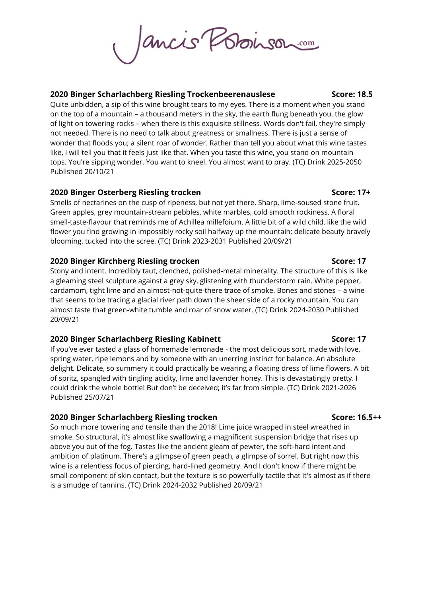ancie Poboison

### **2020 Binger Scharlachberg Riesling Trockenbeerenauslese Score: 18.5**

Quite unbidden, a sip of this wine brought tears to my eyes. There is a moment when you stand on the top of a mountain – a thousand meters in the sky, the earth flung beneath you, the glow of light on towering rocks – when there is this exquisite stillness. Words don't fail, they're simply not needed. There is no need to talk about greatness or smallness. There is just a sense of wonder that floods you; a silent roar of wonder. Rather than tell you about what this wine tastes like, I will tell you that it feels just like that. When you taste this wine, you stand on mountain tops. You're sipping wonder. You want to kneel. You almost want to pray. (TC) Drink 2025-2050 Published 20/10/21

# **2020 Binger Osterberg Riesling trocken Score: 17+**

Smells of nectarines on the cusp of ripeness, but not yet there. Sharp, lime-soused stone fruit. Green apples, grey mountain-stream pebbles, white marbles, cold smooth rockiness. A floral smell-taste-flavour that reminds me of [Achillea millefoium.](http://www.thegoodscentscompany.com/data/es1051841.html#:~:text=The%20aroma%20is%20full%20of,chamomile%20with%20sweet%20butter%20qualities.) A little bit of a wild child, like the wild flower you find growing in impossibly rocky soil halfway up the mountain; delicate beauty bravely blooming, tucked into the scree. (TC) Drink 2023-2031 Published 20/09/21

# **2020 Binger Kirchberg Riesling trocken Score: 17**

Stony and intent. Incredibly taut, clenched, polished-metal minerality. The structure of this is like a gleaming steel sculpture against a grey sky, glistening with thunderstorm rain. White pepper, cardamom, tight lime and an almost-not-quite-there trace of smoke. Bones and stones – a wine that seems to be tracing a glacial river path down the sheer side of a rocky mountain. You can almost taste that green-white tumble and roar of snow water. (TC) Drink 2024-2030 Published 20/09/21

# **2020 Binger Scharlachberg Riesling Kabinett Score: 17**

If you've ever tasted a glass of homemade lemonade - the most delicious sort, made with love, spring water, ripe lemons and by someone with an unerring instinct for balance. An absolute delight. Delicate, so summery it could practically be wearing a floating dress of lime flowers. A bit of spritz, spangled with tingling acidity, lime and lavender honey. This is devastatingly pretty. I could drink the whole bottle! But don't be deceived; it's far from simple. (TC) Drink 2021-2026 Published 25/07/21

# **2020 Binger Scharlachberg Riesling trocken Score: 16.5++**

So much more towering and tensile than the 2018! Lime juice wrapped in steel wreathed in smoke. So structural, it's almost like swallowing a magnificent suspension bridge that rises up above you out of the fog. Tastes like the ancient gleam of pewter, the soft-hard intent and ambition of platinum. There's a glimpse of green peach, a glimpse of sorrel. But right now this wine is a relentless focus of piercing, hard-lined geometry. And I don't know if there might be small component of skin contact, but the texture is so powerfully tactile that it's almost as if there is a smudge of tannins. (TC) Drink 2024-2032 Published 20/09/21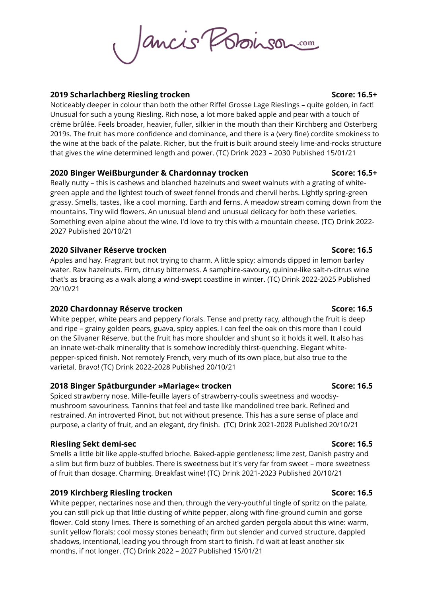Jancie Poboinson

### **2019 Scharlachberg Riesling trocken Score: 16.5+**

Noticeably deeper in colour than both the other Riffel Grosse Lage Rieslings – quite golden, in fact! Unusual for such a young Riesling. Rich nose, a lot more baked apple and pear with a touch of crème brûlée. Feels broader, heavier, fuller, silkier in the mouth than their Kirchberg and Osterberg 2019s. The fruit has more confidence and dominance, and there is a (very fine) cordite smokiness to the wine at the back of the palate. Richer, but the fruit is built around steely lime-and-rocks structure that gives the wine determined length and power. (TC) Drink 2023 – 2030 Published 15/01/21

### **2020 Binger Weißburgunder & Chardonnay trocken Score: 16.5+** Score: 16.5+

Really nutty – this is cashews and blanched hazelnuts and sweet walnuts with a grating of whitegreen apple and the lightest touch of sweet fennel fronds and chervil herbs. Lightly spring-green grassy. Smells, tastes, like a cool morning. Earth and ferns. A meadow stream coming down from the mountains. Tiny wild flowers. An unusual blend and unusual delicacy for both these varieties. Something even alpine about the wine. I'd love to try this with a mountain cheese. (TC) Drink 2022- 2027 Published 20/10/21

### **2020 Silvaner Réserve trocken Score: 16.5**

Apples and hay. Fragrant but not trying to charm. A little spicy; almonds dipped in lemon barley water. Raw hazelnuts. Firm, citrusy bitterness. A samphire-savoury, quinine-like salt-n-citrus wine that's as bracing as a walk along a wind-swept coastline in winter. (TC) Drink 2022-2025 Published 20/10/21

# **2020 Chardonnay Réserve trocken Score: 16.5**

White pepper, white pears and peppery florals. Tense and pretty racy, although the fruit is deep and ripe – grainy golden pears, guava, spicy apples. I can feel the oak on this more than I could on the Silvaner Réserve, but the fruit has more shoulder and shunt so it holds it well. It also has an innate wet-chalk minerality that is somehow incredibly thirst-quenching. Elegant whitepepper-spiced finish. Not remotely French, very much of its own place, but also true to the varietal. Bravo! (TC) Drink 2022-2028 Published 20/10/21

# **2018 Binger Spätburgunder »Mariage« trocken Score: 16.5**

Spiced strawberry nose. Mille-feuille layers of strawberry-coulis sweetness and woodsymushroom savouriness. Tannins that feel and taste like mandolined tree bark. Refined and restrained. An introverted Pinot, but not without presence. This has a sure sense of place and purpose, a clarity of fruit, and an elegant, dry finish. (TC) Drink 2021-2028 Published 20/10/21

### **Riesling Sekt demi-sec Score: 16.5**

Smells a little bit like apple-stuffed brioche. Baked-apple gentleness; lime zest, Danish pastry and a slim but firm buzz of bubbles. There is sweetness but it's very far from sweet – more sweetness of fruit than dosage. Charming. Breakfast wine! (TC) Drink 2021-2023 Published 20/10/21

# **2019 Kirchberg Riesling trocken Score: 16.5**

White pepper, nectarines nose and then, through the very-youthful tingle of spritz on the palate, you can still pick up that little dusting of white pepper, along with fine-ground cumin and gorse flower. Cold stony limes. There is something of an arched garden pergola about this wine: warm, sunlit yellow florals; cool mossy stones beneath; firm but slender and curved structure, dappled shadows, intentional, leading you through from start to finish. I'd wait at least another six months, if not longer. (TC) Drink 2022 – 2027 Published 15/01/21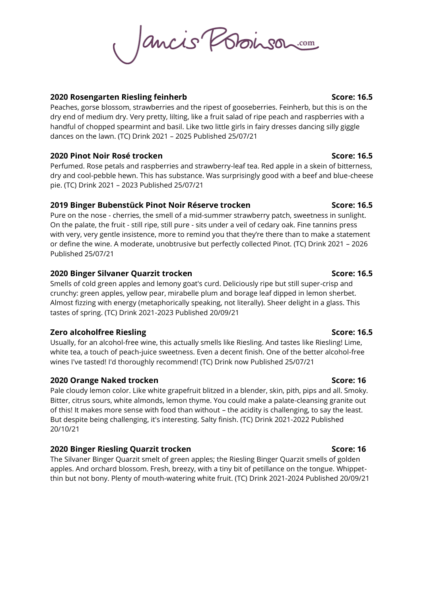Jancis Poboinsor

### **2020 Rosengarten Riesling feinherb Score: 16.5**

Peaches, gorse blossom, strawberries and the ripest of gooseberries. Feinherb, but this is on the dry end of medium dry. Very pretty, lilting, like a fruit salad of ripe peach and raspberries with a handful of chopped spearmint and basil. Like two little girls in fairy dresses dancing silly giggle dances on the lawn. (TC) Drink 2021 – 2025 Published 25/07/21

# **2020 Pinot Noir Rosé trocken Score: 16.5**

Perfumed. Rose petals and raspberries and strawberry-leaf tea. Red apple in a skein of bitterness, dry and cool-pebble hewn. This has substance. Was surprisingly good with a beef and blue-cheese pie. (TC) Drink 2021 – 2023 Published 25/07/21

### **2019 Binger Bubenstück Pinot Noir Réserve trocken Score: 16.5**

Pure on the nose - cherries, the smell of a mid-summer strawberry patch, sweetness in sunlight. On the palate, the fruit - still ripe, still pure - sits under a veil of cedary oak. Fine tannins press with very, very gentle insistence, more to remind you that they're there than to make a statement or define the wine. A moderate, unobtrusive but perfectly collected Pinot. (TC) Drink 2021 – 2026 Published 25/07/21

### **2020 Binger Silvaner Quarzit trocken Score: 16.5**

Smells of cold green apples and lemony goat's curd. Deliciously ripe but still super-crisp and crunchy: green apples, yellow pear, mirabelle plum and borage leaf dipped in lemon sherbet. Almost fizzing with energy (metaphorically speaking, not literally). Sheer delight in a glass. This tastes of spring. (TC) Drink 2021-2023 Published 20/09/21

### **Zero alcoholfree Riesling Score: 16.5**

Usually, for an alcohol-free wine, this actually smells like Riesling. And tastes like Riesling! Lime, white tea, a touch of peach-juice sweetness. Even a decent finish. One of the better alcohol-free wines I've tasted! I'd thoroughly recommend! (TC) Drink now Published 25/07/21

# **2020 Orange Naked trocken Score: 16**

Pale cloudy lemon color. Like white grapefruit blitzed in a blender, skin, pith, pips and all. Smoky. Bitter, citrus sours, white almonds, lemon thyme. You could make a palate-cleansing granite out of this! It makes more sense with food than without – the acidity is challenging, to say the least. But despite being challenging, it's interesting. Salty finish. (TC) Drink 2021-2022 Published 20/10/21

# **2020 Binger Riesling Quarzit trocken Score: 16** Score: 16

The Silvaner Binger Quarzit smelt of green apples; the Riesling Binger Quarzit smells of golden apples. And orchard blossom. Fresh, breezy, with a tiny bit of petillance on the tongue. Whippetthin but not bony. Plenty of mouth-watering white fruit. (TC) Drink 2021-2024 Published 20/09/21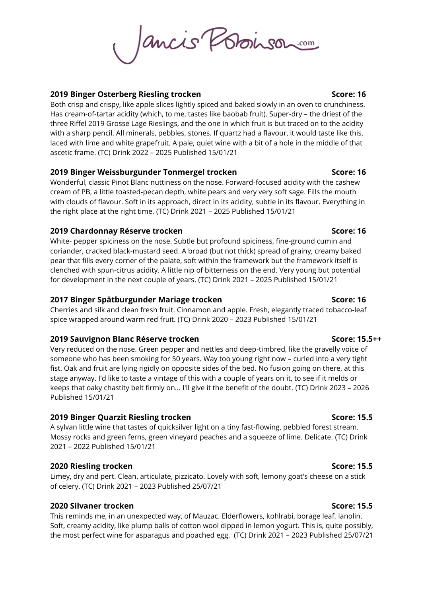Jancis Poboinson

### **2019 Binger Osterberg Riesling trocken Score: 16**

Both crisp and crispy, like apple slices lightly spiced and baked slowly in an oven to crunchiness. Has cream-of-tartar acidity (which, to me, tastes like baobab fruit). Super-dry – the driest of the three Riffel 2019 Grosse Lage Rieslings, and the one in which fruit is but traced on to the acidity with a sharp pencil. All minerals, pebbles, stones. If quartz had a flavour, it would taste like this, laced with lime and white grapefruit. A pale, quiet wine with a bit of a hole in the middle of that ascetic frame. (TC) Drink 2022 – 2025 Published 15/01/21

### **2019 Binger Weissburgunder Tonmergel trocken Score: 16**

Wonderful, classic Pinot Blanc nuttiness on the nose. Forward-focused acidity with the cashew cream of PB, a little toasted-pecan depth, white pears and very very soft sage. Fills the mouth with clouds of flavour. Soft in its approach, direct in its acidity, subtle in its flavour. Everything in the right place at the right time. (TC) Drink 2021 – 2025 Published 15/01/21

### **2019 Chardonnay Réserve trocken Score: 16**

White- pepper spiciness on the nose. Subtle but profound spiciness, fine-ground cumin and coriander, cracked black-mustard seed. A broad (but not thick) spread of grainy, creamy baked pear that fills every corner of the palate, soft within the framework but the framework itself is clenched with spun-citrus acidity. A little nip of bitterness on the end. Very young but potential for development in the next couple of years. (TC) Drink 2021 – 2025 Published 15/01/21

### **2017 Binger Spätburgunder Mariage trocken Score: 16**

Cherries and silk and clean fresh fruit. Cinnamon and apple. Fresh, elegantly traced tobacco-leaf spice wrapped around warm red fruit. (TC) Drink 2020 – 2023 Published 15/01/21

### **2019 Sauvignon Blanc Réserve trocken Score: 15.5++**

Very reduced on the nose. Green pepper and nettles and deep-timbred, like the gravelly voice of someone who has been smoking for 50 years. Way too young right now – curled into a very tight fist. Oak and fruit are lying rigidly on opposite sides of the bed. No fusion going on there, at this stage anyway. I'd like to taste a vintage of this with a couple of years on it, to see if it melds or keeps that oaky chastity belt firmly on... I'll give it the benefit of the doubt. (TC) Drink 2023 – 2026 Published 15/01/21

# **2019 Binger Quarzit Riesling trocken Score: 15.5**

A sylvan little wine that tastes of quicksilver light on a tiny fast-flowing, pebbled forest stream. Mossy rocks and green ferns, green vineyard peaches and a squeeze of lime. Delicate. (TC) Drink 2021 – 2022 Published 15/01/21

# **2020 Riesling trocken Score: 15.5**

Limey, dry and pert. Clean, articulate, pizzicato. Lovely with soft, lemony goat's cheese on a stick of celery. (TC) Drink 2021 – 2023 Published 25/07/21

# **2020 Silvaner trocken Score: 15.5**

This reminds me, in an unexpected way, of Mauzac. Elderflowers, kohlrabi, borage leaf, lanolin. Soft, creamy acidity, like plump balls of cotton wool dipped in lemon yogurt. This is, quite possibly, the most perfect wine for asparagus and poached egg. (TC) Drink 2021 – 2023 Published 25/07/21